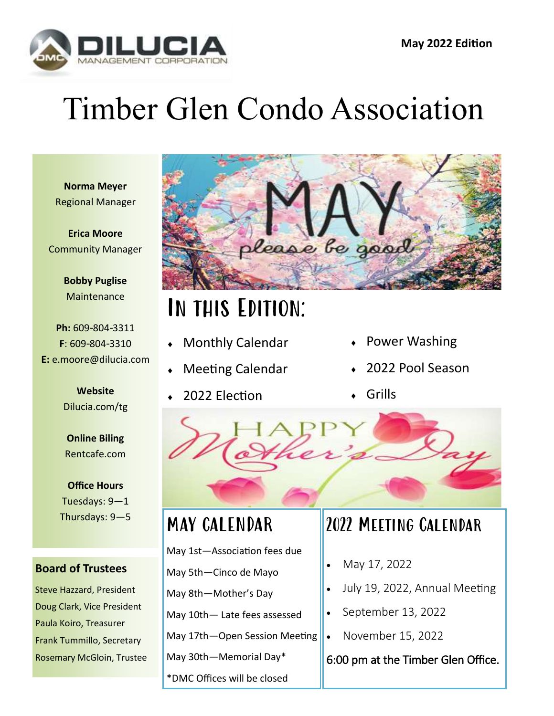

# Timber Glen Condo Association

**Norma Meyer** Regional Manager

**Erica Moore** Community Manager

> **Bobby Puglise Maintenance**

**Ph:** 609-804-3311 **F**: 609-804-3310 **E:** e.moore@dilucia.com

> **Website** Dilucia.com/tg

**Online Biling** Rentcafe.com

**Office Hours** Tuesdays: 9—1 Thursdays: 9—5

#### **Board of Trustees**

Steve Hazzard, President Doug Clark, Vice President Paula Koiro, Treasurer Frank Tummillo, Secretary Rosemary McGloin, Trustee



## In this Edition:

- Monthly Calendar
- Meeting Calendar
- 2022 Election
- Power Washing
- 2022 Pool Season
- Grills



#### MAY CALENDAR

May 1st—Association fees due

May 5th—Cinco de Mayo May 8th—Mother's Day

May 10th— Late fees assessed

May 17th—Open Session Meeting

May 30th—Memorial Day\*

\*DMC Offices will be closed

#### 2022 Meeting Calendar

- May 17, 2022
- July 19, 2022, Annual Meeting
- September 13, 2022
- November 15, 2022

6:00 pm at the Timber Glen Office.